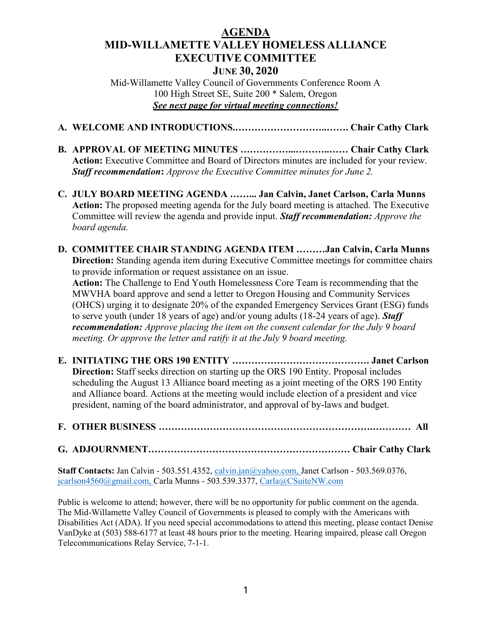## AGENDA MID-WILLAMETTE VALLEY HOMELESS ALLIANCE EXECUTIVE COMMITTEE JUNE 30, 2020

Mid-Willamette Valley Council of Governments Conference Room A 100 High Street SE, Suite 200 \* Salem, Oregon See next page for virtual meeting connections!

- A. WELCOME AND INTRODUCTIONS.………………………..……. Chair Cathy Clark
- B. APPROVAL OF MEETING MINUTES ……………...………..…… Chair Cathy Clark Action: Executive Committee and Board of Directors minutes are included for your review. Staff recommendation: Approve the Executive Committee minutes for June 2.
- C. JULY BOARD MEETING AGENDA ……... Jan Calvin, Janet Carlson, Carla Munns Action: The proposed meeting agenda for the July board meeting is attached. The Executive Committee will review the agenda and provide input. Staff recommendation: Approve the board agenda.
- D. COMMITTEE CHAIR STANDING AGENDA ITEM ………Jan Calvin, Carla Munns Direction: Standing agenda item during Executive Committee meetings for committee chairs to provide information or request assistance on an issue.

 Action: The Challenge to End Youth Homelessness Core Team is recommending that the MWVHA board approve and send a letter to Oregon Housing and Community Services (OHCS) urging it to designate 20% of the expanded Emergency Services Grant (ESG) funds to serve youth (under 18 years of age) and/or young adults (18-24 years of age). Staff recommendation: Approve placing the item on the consent calendar for the July 9 board meeting. Or approve the letter and ratify it at the July 9 board meeting.

- E. INITIATING THE ORS 190 ENTITY ……………………………………. Janet Carlson Direction: Staff seeks direction on starting up the ORS 190 Entity. Proposal includes scheduling the August 13 Alliance board meeting as a joint meeting of the ORS 190 Entity and Alliance board. Actions at the meeting would include election of a president and vice president, naming of the board administrator, and approval of by-laws and budget.
- F. OTHER BUSINESS ………………………………………………………….………… All

## G. ADJOURNMENT……………………………………………………… Chair Cathy Clark

Staff Contacts: Jan Calvin - 503.551.4352, calvin.jan@yahoo.com, Janet Carlson - 503.569.0376, jcarlson4560@gmail.com, Carla Munns - 503.539.3377, Carla@CSuiteNW.com

Public is welcome to attend; however, there will be no opportunity for public comment on the agenda. The Mid-Willamette Valley Council of Governments is pleased to comply with the Americans with Disabilities Act (ADA). If you need special accommodations to attend this meeting, please contact Denise VanDyke at (503) 588-6177 at least 48 hours prior to the meeting. Hearing impaired, please call Oregon Telecommunications Relay Service, 7-1-1.